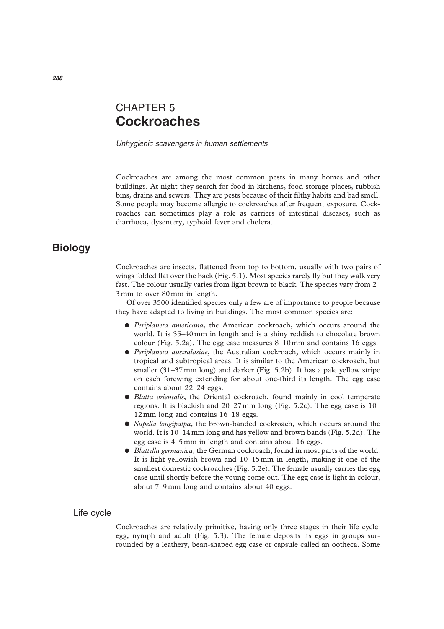# CHAPTER 5 **Cockroaches**

Unhygienic scavengers in human settlements

Cockroaches are among the most common pests in many homes and other buildings. At night they search for food in kitchens, food storage places, rubbish bins, drains and sewers. They are pests because of their filthy habits and bad smell. Some people may become allergic to cockroaches after frequent exposure. Cockroaches can sometimes play a role as carriers of intestinal diseases, such as diarrhoea, dysentery, typhoid fever and cholera.

## **Biology**

Cockroaches are insects, flattened from top to bottom, usually with two pairs of wings folded flat over the back (Fig. 5.1). Most species rarely fly but they walk very fast. The colour usually varies from light brown to black. The species vary from 2– 3mm to over 80mm in length.

Of over 3500 identified species only a few are of importance to people because they have adapted to living in buildings. The most common species are:

- *Periplaneta americana*, the American cockroach, which occurs around the world. It is 35–40mm in length and is a shiny reddish to chocolate brown colour (Fig. 5.2a). The egg case measures 8–10mm and contains 16 eggs.
- *Periplaneta australasiae*, the Australian cockroach, which occurs mainly in tropical and subtropical areas. It is similar to the American cockroach, but smaller (31–37mm long) and darker (Fig. 5.2b). It has a pale yellow stripe on each forewing extending for about one-third its length. The egg case contains about 22–24 eggs.
- *Blatta orientalis*, the Oriental cockroach, found mainly in cool temperate regions. It is blackish and 20–27mm long (Fig. 5.2c). The egg case is 10– 12mm long and contains 16–18 eggs.
- *Supella longipalpa*, the brown-banded cockroach, which occurs around the world. It is 10–14mm long and has yellow and brown bands (Fig. 5.2d). The egg case is 4–5mm in length and contains about 16 eggs.
- *Blattella germanica*, the German cockroach, found in most parts of the world. It is light yellowish brown and 10–15mm in length, making it one of the smallest domestic cockroaches (Fig. 5.2e). The female usually carries the egg case until shortly before the young come out. The egg case is light in colour, about 7–9mm long and contains about 40 eggs.

## Life cycle

Cockroaches are relatively primitive, having only three stages in their life cycle: egg, nymph and adult (Fig. 5.3). The female deposits its eggs in groups surrounded by a leathery, bean-shaped egg case or capsule called an ootheca. Some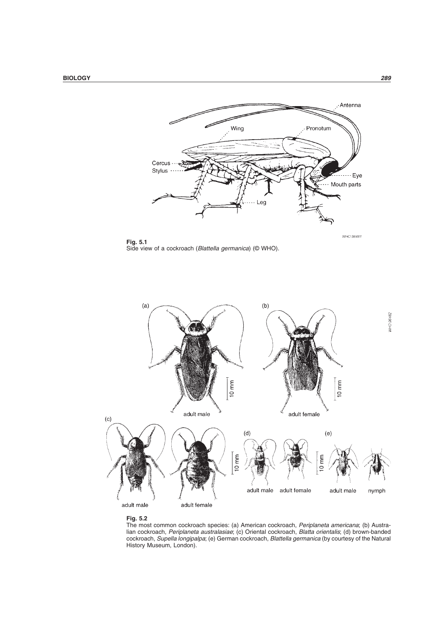

**Fig. 5.1** Side view of a cockroach (Blattella germanica) (© WHO).





The most common cockroach species: (a) American cockroach, *Periplaneta americana*; (b) Australian cockroach, Periplaneta australasiae; (c) Oriental cockroach, Blatta orientalis; (d) brown-banded cockroach, Supella longipalpa; (e) German cockroach, Blattella germanica (by courtesy of the Natural History Museum, London).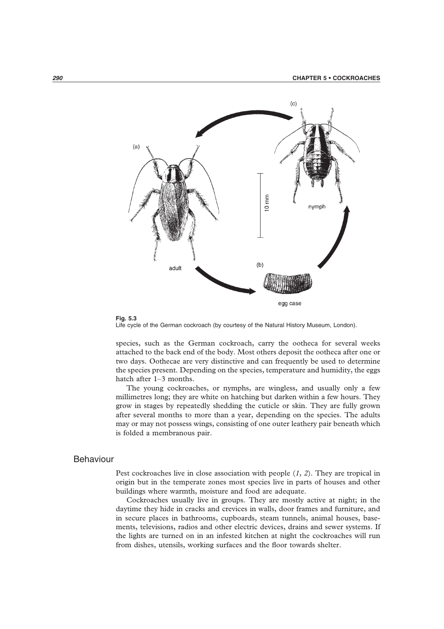



Life cycle of the German cockroach (by courtesy of the Natural History Museum, London).

species, such as the German cockroach, carry the ootheca for several weeks attached to the back end of the body. Most others deposit the ootheca after one or two days. Oothecae are very distinctive and can frequently be used to determine the species present. Depending on the species, temperature and humidity, the eggs hatch after 1–3 months.

The young cockroaches, or nymphs, are wingless, and usually only a few millimetres long; they are white on hatching but darken within a few hours. They grow in stages by repeatedly shedding the cuticle or skin. They are fully grown after several months to more than a year, depending on the species. The adults may or may not possess wings, consisting of one outer leathery pair beneath which is folded a membranous pair.

## Behaviour

Pest cockroaches live in close association with people (*1*, *2*). They are tropical in origin but in the temperate zones most species live in parts of houses and other buildings where warmth, moisture and food are adequate.

Cockroaches usually live in groups. They are mostly active at night; in the daytime they hide in cracks and crevices in walls, door frames and furniture, and in secure places in bathrooms, cupboards, steam tunnels, animal houses, basements, televisions, radios and other electric devices, drains and sewer systems. If the lights are turned on in an infested kitchen at night the cockroaches will run from dishes, utensils, working surfaces and the floor towards shelter.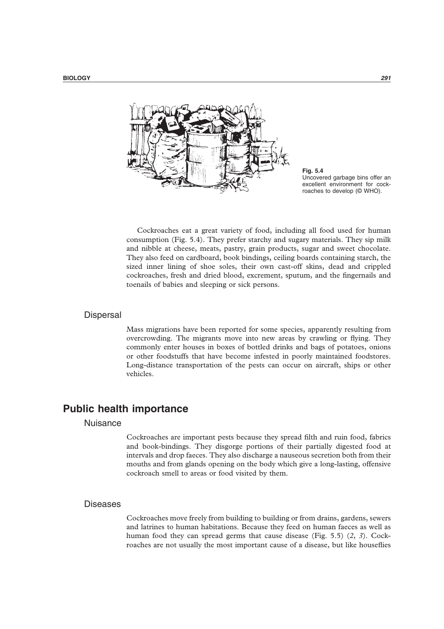

**Fig. 5.4** Uncovered garbage bins offer an excellent environment for cockroaches to develop (© WHO).

Cockroaches eat a great variety of food, including all food used for human consumption (Fig. 5.4). They prefer starchy and sugary materials. They sip milk and nibble at cheese, meats, pastry, grain products, sugar and sweet chocolate. They also feed on cardboard, book bindings, ceiling boards containing starch, the sized inner lining of shoe soles, their own cast-off skins, dead and crippled cockroaches, fresh and dried blood, excrement, sputum, and the fingernails and toenails of babies and sleeping or sick persons.

## **Dispersal**

Mass migrations have been reported for some species, apparently resulting from overcrowding. The migrants move into new areas by crawling or flying. They commonly enter houses in boxes of bottled drinks and bags of potatoes, onions or other foodstuffs that have become infested in poorly maintained foodstores. Long-distance transportation of the pests can occur on aircraft, ships or other vehicles.

## **Public health importance**

## Nuisance

Cockroaches are important pests because they spread filth and ruin food, fabrics and book-bindings. They disgorge portions of their partially digested food at intervals and drop faeces. They also discharge a nauseous secretion both from their mouths and from glands opening on the body which give a long-lasting, offensive cockroach smell to areas or food visited by them.

## **Diseases**

Cockroaches move freely from building to building or from drains, gardens, sewers and latrines to human habitations. Because they feed on human faeces as well as human food they can spread germs that cause disease (Fig. 5.5) (*2*, *3*). Cockroaches are not usually the most important cause of a disease, but like houseflies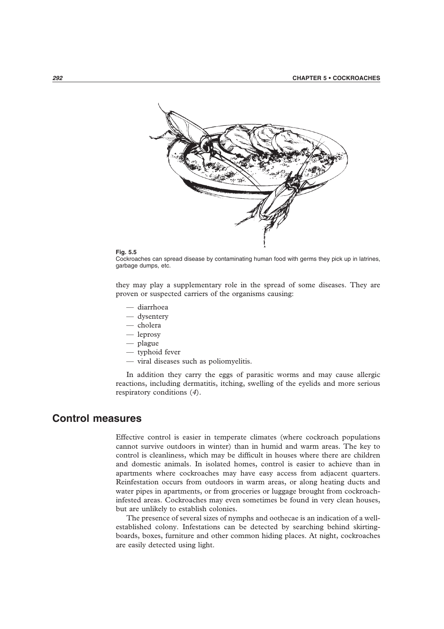

#### **Fig. 5.5**

Cockroaches can spread disease by contaminating human food with germs they pick up in latrines, garbage dumps, etc.

they may play a supplementary role in the spread of some diseases. They are proven or suspected carriers of the organisms causing:

- diarrhoea
- dysentery
- cholera
- leprosy
- plague
- typhoid fever
- viral diseases such as poliomyelitis.

In addition they carry the eggs of parasitic worms and may cause allergic reactions, including dermatitis, itching, swelling of the eyelids and more serious respiratory conditions (*4*).

## **Control measures**

Effective control is easier in temperate climates (where cockroach populations cannot survive outdoors in winter) than in humid and warm areas. The key to control is cleanliness, which may be difficult in houses where there are children and domestic animals. In isolated homes, control is easier to achieve than in apartments where cockroaches may have easy access from adjacent quarters. Reinfestation occurs from outdoors in warm areas, or along heating ducts and water pipes in apartments, or from groceries or luggage brought from cockroachinfested areas. Cockroaches may even sometimes be found in very clean houses, but are unlikely to establish colonies.

The presence of several sizes of nymphs and oothecae is an indication of a wellestablished colony. Infestations can be detected by searching behind skirtingboards, boxes, furniture and other common hiding places. At night, cockroaches are easily detected using light.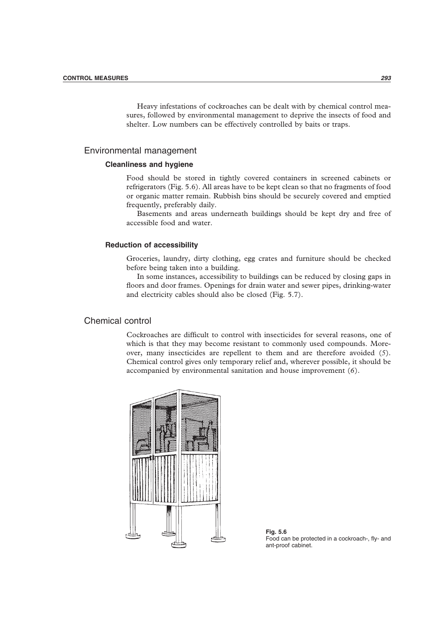Heavy infestations of cockroaches can be dealt with by chemical control measures, followed by environmental management to deprive the insects of food and shelter. Low numbers can be effectively controlled by baits or traps.

## Environmental management

## **Cleanliness and hygiene**

Food should be stored in tightly covered containers in screened cabinets or refrigerators (Fig. 5.6). All areas have to be kept clean so that no fragments of food or organic matter remain. Rubbish bins should be securely covered and emptied frequently, preferably daily.

Basements and areas underneath buildings should be kept dry and free of accessible food and water.

## **Reduction of accessibility**

Groceries, laundry, dirty clothing, egg crates and furniture should be checked before being taken into a building.

In some instances, accessibility to buildings can be reduced by closing gaps in floors and door frames. Openings for drain water and sewer pipes, drinking-water and electricity cables should also be closed (Fig. 5.7).

## Chemical control

Cockroaches are difficult to control with insecticides for several reasons, one of which is that they may become resistant to commonly used compounds. Moreover, many insecticides are repellent to them and are therefore avoided (*5*). Chemical control gives only temporary relief and, wherever possible, it should be accompanied by environmental sanitation and house improvement (*6*).



**Fig. 5.6** Food can be protected in a cockroach-, fly- and ant-proof cabinet.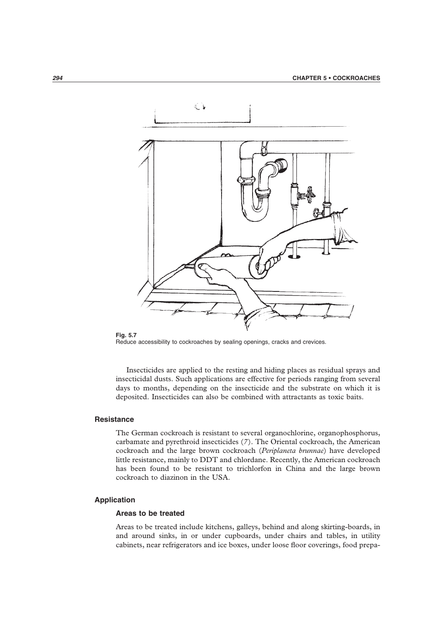

**Fig. 5.7** Reduce accessibility to cockroaches by sealing openings, cracks and crevices.

Insecticides are applied to the resting and hiding places as residual sprays and insecticidal dusts. Such applications are effective for periods ranging from several days to months, depending on the insecticide and the substrate on which it is deposited. Insecticides can also be combined with attractants as toxic baits.

## **Resistance**

The German cockroach is resistant to several organochlorine, organophosphorus, carbamate and pyrethroid insecticides (*7*). The Oriental cockroach, the American cockroach and the large brown cockroach (*Periplaneta brunnae*) have developed little resistance, mainly to DDT and chlordane. Recently, the American cockroach has been found to be resistant to trichlorfon in China and the large brown cockroach to diazinon in the USA.

## **Application**

## **Areas to be treated**

Areas to be treated include kitchens, galleys, behind and along skirting-boards, in and around sinks, in or under cupboards, under chairs and tables, in utility cabinets, near refrigerators and ice boxes, under loose floor coverings, food prepa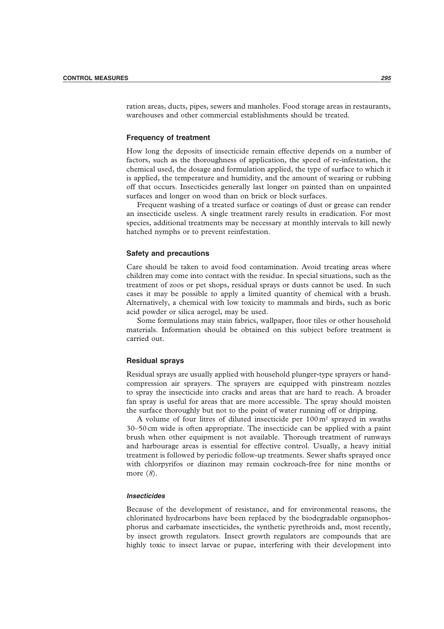ration areas, ducts, pipes, sewers and manholes. Food storage areas in restaurants, warehouses and other commercial establishments should be treated.

### **Frequency of treatment**

How long the deposits of insecticide remain effective depends on a number of factors, such as the thoroughness of application, the speed of re-infestation, the chemical used, the dosage and formulation applied, the type of surface to which it is applied, the temperature and humidity, and the amount of wearing or rubbing off that occurs. Insecticides generally last longer on painted than on unpainted surfaces and longer on wood than on brick or block surfaces.

Frequent washing of a treated surface or coatings of dust or grease can render an insecticide useless. A single treatment rarely results in eradication. For most species, additional treatments may be necessary at monthly intervals to kill newly hatched nymphs or to prevent reinfestation.

#### **Safety and precautions**

Care should be taken to avoid food contamination. Avoid treating areas where children may come into contact with the residue. In special situations, such as the treatment of zoos or pet shops, residual sprays or dusts cannot be used. In such cases it may be possible to apply a limited quantity of chemical with a brush. Alternatively, a chemical with low toxicity to mammals and birds, such as boric acid powder or silica aerogel, may be used.

Some formulations may stain fabrics, wallpaper, floor tiles or other household materials. Information should be obtained on this subject before treatment is carried out.

#### **Residual sprays**

Residual sprays are usually applied with household plunger-type sprayers or handcompression air sprayers. The sprayers are equipped with pinstream nozzles to spray the insecticide into cracks and areas that are hard to reach. A broader fan spray is useful for areas that are more accessible. The spray should moisten the surface thoroughly but not to the point of water running off or dripping.

A volume of four litres of diluted insecticide per 100m2 sprayed in swaths 30–50cm wide is often appropriate. The insecticide can be applied with a paint brush when other equipment is not available. Thorough treatment of runways and harbourage areas is essential for effective control. Usually, a heavy initial treatment is followed by periodic follow-up treatments. Sewer shafts sprayed once with chlorpyrifos or diazinon may remain cockroach-free for nine months or more (*8*).

### **Insecticides**

Because of the development of resistance, and for environmental reasons, the chlorinated hydrocarbons have been replaced by the biodegradable organophosphorus and carbamate insecticides, the synthetic pyrethroids and, most recently, by insect growth regulators. Insect growth regulators are compounds that are highly toxic to insect larvae or pupae, interfering with their development into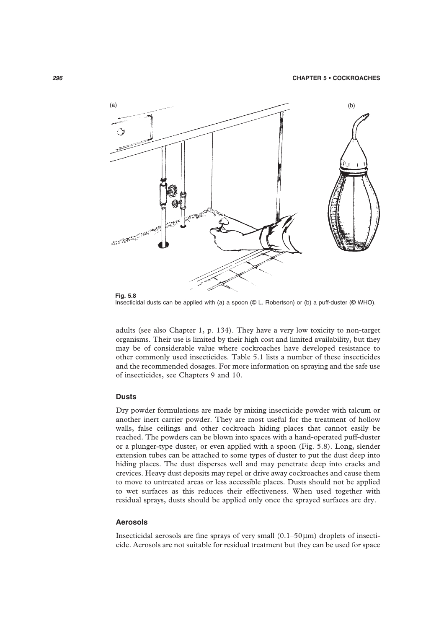

**Fig. 5.8** Insecticidal dusts can be applied with (a) a spoon (© L. Robertson) or (b) a puff-duster (© WHO).

adults (see also Chapter 1, p. 134). They have a very low toxicity to non-target organisms. Their use is limited by their high cost and limited availability, but they may be of considerable value where cockroaches have developed resistance to other commonly used insecticides. Table 5.1 lists a number of these insecticides and the recommended dosages. For more information on spraying and the safe use of insecticides, see Chapters 9 and 10.

## **Dusts**

Dry powder formulations are made by mixing insecticide powder with talcum or another inert carrier powder. They are most useful for the treatment of hollow walls, false ceilings and other cockroach hiding places that cannot easily be reached. The powders can be blown into spaces with a hand-operated puff-duster or a plunger-type duster, or even applied with a spoon (Fig. 5.8). Long, slender extension tubes can be attached to some types of duster to put the dust deep into hiding places. The dust disperses well and may penetrate deep into cracks and crevices. Heavy dust deposits may repel or drive away cockroaches and cause them to move to untreated areas or less accessible places. Dusts should not be applied to wet surfaces as this reduces their effectiveness. When used together with residual sprays, dusts should be applied only once the sprayed surfaces are dry.

## **Aerosols**

Insecticidal aerosols are fine sprays of very small  $(0.1-50 \mu m)$  droplets of insecticide. Aerosols are not suitable for residual treatment but they can be used for space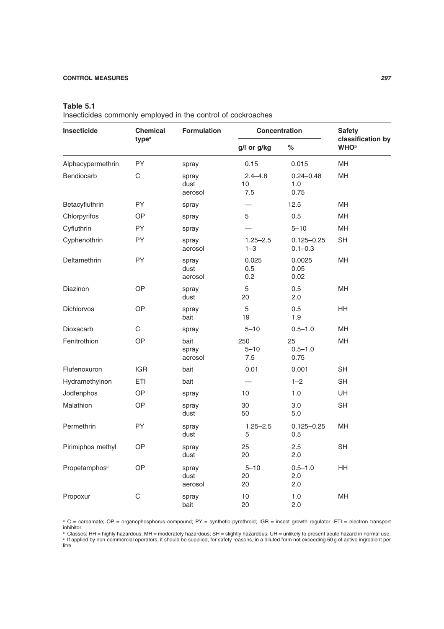## **Table 5.1**

Insecticides commonly employed in the control of cockroaches

| Insecticide               | <b>Chemical</b><br>type <sup>a</sup> | <b>Formulation</b>       | <b>Concentration</b>     |                               | <b>Safety</b>                                |
|---------------------------|--------------------------------------|--------------------------|--------------------------|-------------------------------|----------------------------------------------|
|                           |                                      |                          | g/l or g/kg              | $\%$                          | classification by<br><b>WHO</b> <sup>b</sup> |
| Alphacypermethrin         | PY                                   | spray                    | 0.15                     | 0.015                         | MН                                           |
| Bendiocarb                | $\mathsf C$                          | spray<br>dust<br>aerosol | $2.4 - 4.8$<br>10<br>7.5 | $0.24 - 0.48$<br>1.0<br>0.75  | MH                                           |
| Betacyfluthrin            | PY                                   | spray                    |                          | 12.5                          | MН                                           |
| Chlorpyrifos              | <b>OP</b>                            | spray                    | 5                        | 0.5                           | <b>MH</b>                                    |
| Cyfluthrin                | PY                                   | spray                    |                          | $5 - 10$                      | MH                                           |
| Cyphenothrin              | PY                                   | spray<br>aerosol         | $1.25 - 2.5$<br>$1 - 3$  | $0.125 - 0.25$<br>$0.1 - 0.3$ | <b>SH</b>                                    |
| Deltamethrin              | PY                                   | spray<br>dust<br>aerosol | 0.025<br>0.5<br>0.2      | 0.0025<br>0.05<br>0.02        | MH                                           |
| Diazinon                  | OP                                   | spray<br>dust            | 5<br>20                  | 0.5<br>2.0                    | <b>MH</b>                                    |
| Dichlorvos                | OP                                   | spray<br>bait            | 5<br>19                  | 0.5<br>1.9                    | HH                                           |
| Dioxacarb                 | С                                    | spray                    | $5 - 10$                 | $0.5 - 1.0$                   | <b>MH</b>                                    |
| Fenitrothion              | OP                                   | bait<br>spray<br>aerosol | 250<br>$5 - 10$<br>7.5   | 25<br>$0.5 - 1.0$<br>0.75     | <b>MH</b>                                    |
| Flufenoxuron              | <b>IGR</b>                           | bait                     | 0.01                     | 0.001                         | SН                                           |
| Hydramethylnon            | ETI                                  | bait                     |                          | $1 - 2$                       | <b>SH</b>                                    |
| Jodfenphos                | OP                                   | spray                    | 10 <sup>1</sup>          | 1.0                           | UH                                           |
| Malathion                 | OP                                   | spray<br>dust            | 30<br>50                 | 3.0<br>5.0                    | <b>SH</b>                                    |
| Permethrin                | PY                                   | spray<br>dust            | $1.25 - 2.5$<br>5        | $0.125 - 0.25$<br>0.5         | <b>MH</b>                                    |
| Pirimiphos methyl         | <b>OP</b>                            | spray<br>dust            | 25<br>20                 | 2.5<br>2.0                    | <b>SH</b>                                    |
| Propetamphos <sup>c</sup> | <b>OP</b>                            | spray<br>dust<br>aerosol | $5 - 10$<br>20<br>20     | $0.5 - 1.0$<br>2.0<br>2.0     | <b>HH</b>                                    |
| Propoxur                  | С                                    | spray<br>bait            | 10<br>20                 | 1.0<br>2.0                    | <b>MH</b>                                    |

<sup>a</sup> C = carbamate; OP = organophosphorus compound; PY = synthetic pyrethroid; IGR = insect growth regulator; ETI = electron transport

inhibitor.<br>ʰ Classes: HH = highly hazardous; MH = moderately hazardous; SH = slightly hazardous; UH = unlikely to present acute hazard in normal use.<br>ʰ f applied by non-commercial operators, it should be supplied, for saf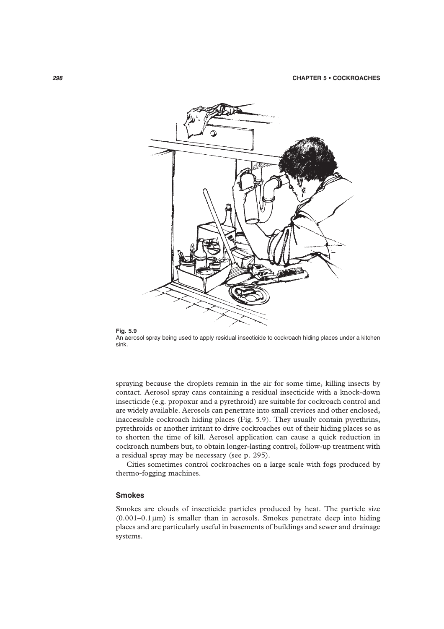

#### **Fig. 5.9**

An aerosol spray being used to apply residual insecticide to cockroach hiding places under a kitchen sink.

spraying because the droplets remain in the air for some time, killing insects by contact. Aerosol spray cans containing a residual insecticide with a knock-down insecticide (e.g. propoxur and a pyrethroid) are suitable for cockroach control and are widely available. Aerosols can penetrate into small crevices and other enclosed, inaccessible cockroach hiding places (Fig. 5.9). They usually contain pyrethrins, pyrethroids or another irritant to drive cockroaches out of their hiding places so as to shorten the time of kill. Aerosol application can cause a quick reduction in cockroach numbers but, to obtain longer-lasting control, follow-up treatment with a residual spray may be necessary (see p. 295).

Cities sometimes control cockroaches on a large scale with fogs produced by thermo-fogging machines.

## **Smokes**

Smokes are clouds of insecticide particles produced by heat. The particle size  $(0.001-0.1 \,\mu\text{m})$  is smaller than in aerosols. Smokes penetrate deep into hiding places and are particularly useful in basements of buildings and sewer and drainage systems.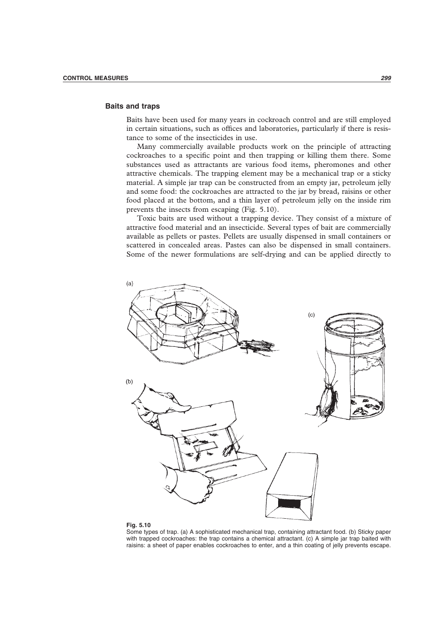#### **Baits and traps**

Baits have been used for many years in cockroach control and are still employed in certain situations, such as offices and laboratories, particularly if there is resistance to some of the insecticides in use.

Many commercially available products work on the principle of attracting cockroaches to a specific point and then trapping or killing them there. Some substances used as attractants are various food items, pheromones and other attractive chemicals. The trapping element may be a mechanical trap or a sticky material. A simple jar trap can be constructed from an empty jar, petroleum jelly and some food: the cockroaches are attracted to the jar by bread, raisins or other food placed at the bottom, and a thin layer of petroleum jelly on the inside rim prevents the insects from escaping (Fig. 5.10).

Toxic baits are used without a trapping device. They consist of a mixture of attractive food material and an insecticide. Several types of bait are commercially available as pellets or pastes. Pellets are usually dispensed in small containers or scattered in concealed areas. Pastes can also be dispensed in small containers. Some of the newer formulations are self-drying and can be applied directly to



#### **Fig. 5.10**

Some types of trap. (a) A sophisticated mechanical trap, containing attractant food. (b) Sticky paper with trapped cockroaches: the trap contains a chemical attractant. (c) A simple jar trap baited with raisins: a sheet of paper enables cockroaches to enter, and a thin coating of jelly prevents escape.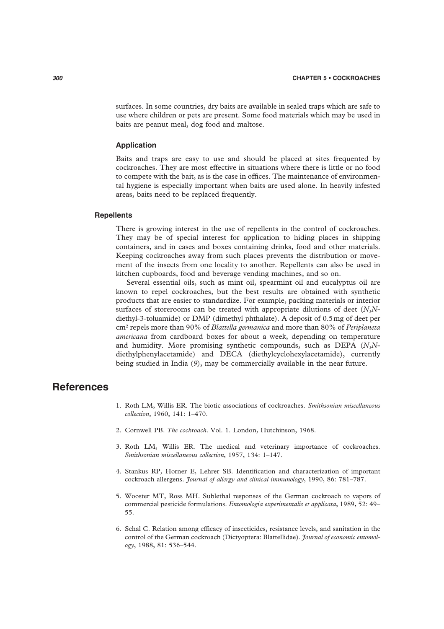surfaces. In some countries, dry baits are available in sealed traps which are safe to use where children or pets are present. Some food materials which may be used in baits are peanut meal, dog food and maltose.

## **Application**

Baits and traps are easy to use and should be placed at sites frequented by cockroaches. They are most effective in situations where there is little or no food to compete with the bait, as is the case in offices. The maintenance of environmental hygiene is especially important when baits are used alone. In heavily infested areas, baits need to be replaced frequently.

#### **Repellents**

There is growing interest in the use of repellents in the control of cockroaches. They may be of special interest for application to hiding places in shipping containers, and in cases and boxes containing drinks, food and other materials. Keeping cockroaches away from such places prevents the distribution or movement of the insects from one locality to another. Repellents can also be used in kitchen cupboards, food and beverage vending machines, and so on.

Several essential oils, such as mint oil, spearmint oil and eucalyptus oil are known to repel cockroaches, but the best results are obtained with synthetic products that are easier to standardize. For example, packing materials or interior surfaces of storerooms can be treated with appropriate dilutions of deet (*N*,*N*diethyl-3-toluamide) or DMP (dimethyl phthalate). A deposit of 0.5mg of deet per cm2 repels more than 90% of *Blattella germanica* and more than 80% of *Periplaneta americana* from cardboard boxes for about a week, depending on temperature and humidity. More promising synthetic compounds, such as DEPA (*N*,*N*diethylphenylacetamide) and DECA (diethylcyclohexylacetamide), currently being studied in India (*9*), may be commercially available in the near future.

## **References**

- 1. Roth LM, Willis ER. The biotic associations of cockroaches. *Smithsonian miscellaneous collection*, 1960, 141: 1–470.
- 2. Cornwell PB. *The cockroach*. Vol. 1. London, Hutchinson, 1968.
- 3. Roth LM, Willis ER. The medical and veterinary importance of cockroaches. *Smithsonian miscellaneous collection*, 1957, 134: 1–147.
- 4. Stankus RP, Horner E, Lehrer SB. Identification and characterization of important cockroach allergens. *Journal of allergy and clinical immunology*, 1990, 86: 781–787.
- 5. Wooster MT, Ross MH. Sublethal responses of the German cockroach to vapors of commercial pesticide formulations. *Entomologia experimentalis et applicata*, 1989, 52: 49– 55.
- 6. Schal C. Relation among efficacy of insecticides, resistance levels, and sanitation in the control of the German cockroach (Dictyoptera: Blattellidae). *Journal of economic entomology*, 1988, 81: 536–544.